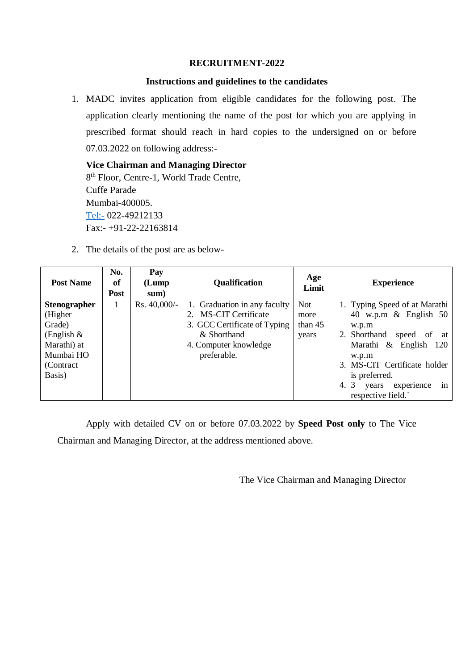## **RECRUITMENT-2022**

### **Instructions and guidelines to the candidates**

1. MADC invites application from eligible candidates for the following post. The application clearly mentioning the name of the post for which you are applying in prescribed format should reach in hard copies to the undersigned on or before 07.03.2022 on following address:-

**Vice Chairman and Managing Director** 8<sup>th</sup> Floor, Centre-1, World Trade Centre, Cuffe Parade Mumbai-400005. <Tel:-> 022-49212133 Fax:- +91-22-22163814

2. The details of the post are as below-

| <b>Post Name</b>                | No.<br>of<br><b>Post</b> | Pay<br>(Lump)<br>sum) | <b>Qualification</b>                                  | Age<br>Limit | <b>Experience</b>                                         |
|---------------------------------|--------------------------|-----------------------|-------------------------------------------------------|--------------|-----------------------------------------------------------|
| <b>Stenographer</b><br>(Higher) |                          | Rs. 40,000/-          | 1. Graduation in any faculty<br>2. MS-CIT Certificate | Not<br>more  | 1. Typing Speed of at Marathi<br>40 w.p.m $\&$ English 50 |
| Grade)                          |                          |                       | 3. GCC Certificate of Typing                          | than $45$    | w.p.m                                                     |
| (English $\&$                   |                          |                       | & Shorthand                                           | years        | 2. Shorthand<br>speed of<br>at                            |
| Marathi) at<br>Mumbai HO        |                          |                       | 4. Computer knowledge<br>preferable.                  |              | Marathi & English 120<br>w.p.m                            |
| (Contract)                      |                          |                       |                                                       |              | 3. MS-CIT Certificate holder                              |
| Basis)                          |                          |                       |                                                       |              | is preferred.                                             |
|                                 |                          |                       |                                                       |              | 3<br>4.<br>experience<br>years<br>1n<br>respective field. |

Apply with detailed CV on or before 07.03.2022 by **Speed Post only** to The Vice Chairman and Managing Director, at the address mentioned above.

The Vice Chairman and Managing Director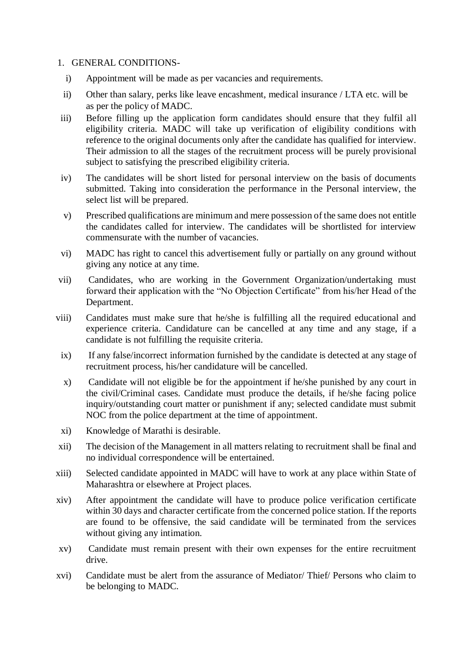#### 1. GENERAL CONDITIONS-

- i) Appointment will be made as per vacancies and requirements.
- ii) Other than salary, perks like leave encashment, medical insurance / LTA etc. will be as per the policy of MADC.
- iii) Before filling up the application form candidates should ensure that they fulfil all eligibility criteria. MADC will take up verification of eligibility conditions with reference to the original documents only after the candidate has qualified for interview. Their admission to all the stages of the recruitment process will be purely provisional subject to satisfying the prescribed eligibility criteria.
- iv) The candidates will be short listed for personal interview on the basis of documents submitted. Taking into consideration the performance in the Personal interview, the select list will be prepared.
- v) Prescribed qualifications are minimum and mere possession of the same does not entitle the candidates called for interview. The candidates will be shortlisted for interview commensurate with the number of vacancies.
- vi) MADC has right to cancel this advertisement fully or partially on any ground without giving any notice at any time.
- vii) Candidates, who are working in the Government Organization/undertaking must forward their application with the "No Objection Certificate" from his/her Head of the Department.
- viii) Candidates must make sure that he/she is fulfilling all the required educational and experience criteria. Candidature can be cancelled at any time and any stage, if a candidate is not fulfilling the requisite criteria.
	- ix) If any false/incorrect information furnished by the candidate is detected at any stage of recruitment process, his/her candidature will be cancelled.
	- x) Candidate will not eligible be for the appointment if he/she punished by any court in the civil/Criminal cases. Candidate must produce the details, if he/she facing police inquiry/outstanding court matter or punishment if any; selected candidate must submit NOC from the police department at the time of appointment.
- xi) Knowledge of Marathi is desirable.
- xii) The decision of the Management in all matters relating to recruitment shall be final and no individual correspondence will be entertained.
- xiii) Selected candidate appointed in MADC will have to work at any place within State of Maharashtra or elsewhere at Project places.
- xiv) After appointment the candidate will have to produce police verification certificate within 30 days and character certificate from the concerned police station. If the reports are found to be offensive, the said candidate will be terminated from the services without giving any intimation.
- xv) Candidate must remain present with their own expenses for the entire recruitment drive.
- xvi) Candidate must be alert from the assurance of Mediator/ Thief/ Persons who claim to be belonging to MADC.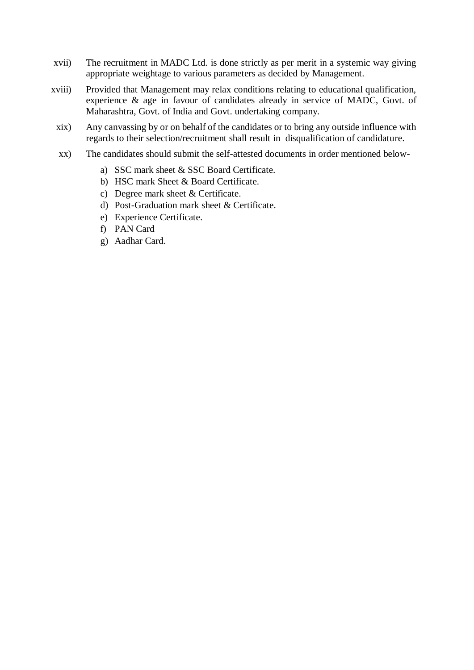- xvii) The recruitment in MADC Ltd. is done strictly as per merit in a systemic way giving appropriate weightage to various parameters as decided by Management.
- xviii) Provided that Management may relax conditions relating to educational qualification, experience & age in favour of candidates already in service of MADC, Govt. of Maharashtra, Govt. of India and Govt. undertaking company.
- xix) Any canvassing by or on behalf of the candidates or to bring any outside influence with regards to their selection/recruitment shall result in disqualification of candidature.
- xx) The candidates should submit the self-attested documents in order mentioned below
	- a) SSC mark sheet & SSC Board Certificate.
	- b) HSC mark Sheet & Board Certificate.
	- c) Degree mark sheet & Certificate.
	- d) Post-Graduation mark sheet & Certificate.
	- e) Experience Certificate.
	- f) PAN Card
	- g) Aadhar Card.